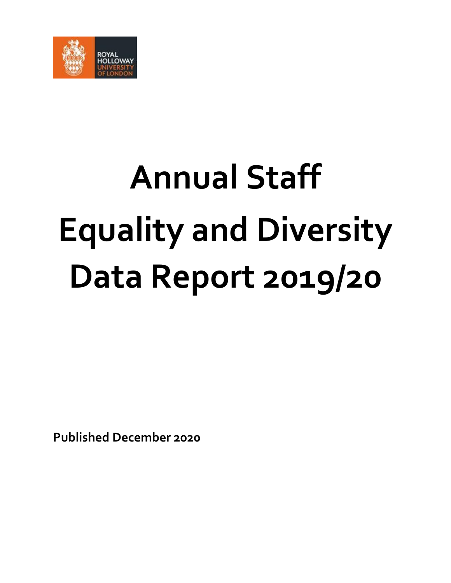

# **Annual Staff Equality and Diversity Data Report 2019/20**

**Published December 2020**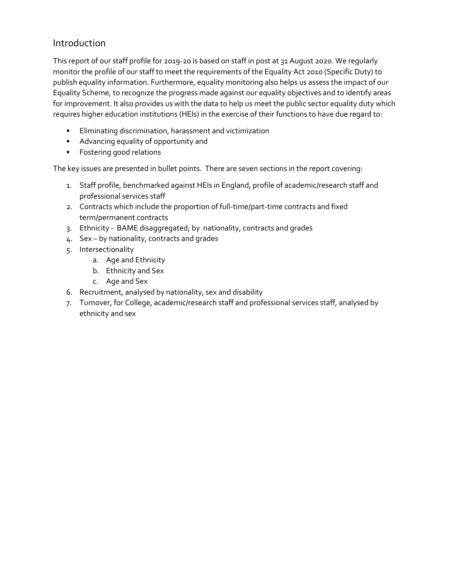#### Introduction

This report of our staff profile for 2019-20 is based on staff in post at 31 August 2020. We regularly monitor the profile of our staff to meet the requirements of the Equality Act 2010 (Specific Duty) to publish equality information. Furthermore, equality monitoring also helps us assess the impact of our Equality Scheme, to recognize the progress made against our equality objectives and to identify areas for improvement. It also provides us with the data to help us meet the public sector equality duty which requires higher education institutions (HEIs) in the exercise of their functions to have due regard to:

- Eliminating discrimination, harassment and victimization
- Advancing equality of opportunity and
- Fostering good relations

The key issues are presented in bullet points. There are seven sections in the report covering:

- 1. Staff profile, benchmarked against HEIs in England, profile of academic/research staff and professional services staff
- 2. Contracts which include the proportion of full-time/part-time contracts and fixed term/permanent contracts
- 3. Ethnicity BAME disaggregated; by nationality, contracts and grades
- 4. Sex by nationality, contracts and grades
- 5. Intersectionality
	- a. Age and Ethnicity
	- b. Ethnicity and Sex
	- c. Age and Sex
- 6. Recruitment, analysed by nationality, sex and disability
- 7. Turnover, for College, academic/research staff and professional services staff, analysed by ethnicity and sex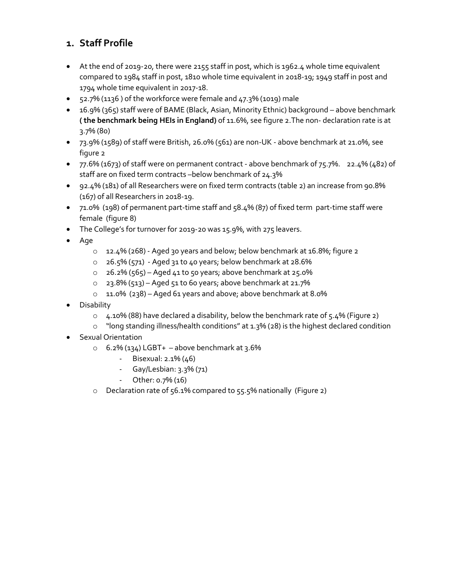# **1. Staff Profile**

- At the end of 2019-20, there were 2155 staff in post, which is 1962.4 whole time equivalent compared to 1984 staff in post, 1810 whole time equivalent in 2018-19; 1949 staff in post and 1794 whole time equivalent in 2017-18.
- $\bullet$  52.7% (1136) of the workforce were female and 47.3% (1019) male
- 16.9% (365) staff were of BAME (Black, Asian, Minority Ethnic) background above benchmark **( the benchmark being HEIs in England)** of 11.6%, see figure 2.The non- declaration rate is at 3.7% (80)
- 73.9% (1589) of staff were British, 26.0% (561) are non-UK above benchmark at 21.0%, see figure 2
- $\bullet$  77.6% (1673) of staff were on permanent contract above benchmark of 75.7%. 22.4% (482) of staff are on fixed term contracts –below benchmark of 24.3%
- 92.4% (181) of all Researchers were on fixed term contracts (table 2) an increase from 90.8% (167) of all Researchers in 2018-19.
- 71.0% (198) of permanent part-time staff and 58.4% (87) of fixed term part-time staff were female (figure 8)
- The College's for turnover for 2019-20 was 15.9%, with 275 leavers.
- Age
	- o 12.4% (268) Aged 30 years and below; below benchmark at 16.8%; figure 2
	- o 26.5% (571) Aged 31 to 40 years; below benchmark at 28.6%
	- $\circ$  26.2% (565) Aged 41 to 50 years; above benchmark at 25.0%
	- $\circ$  23.8% (513) Aged 51 to 60 years; above benchmark at 21.7%
	- o 11.0% (238) Aged 61 years and above; above benchmark at 8.0%
- Disability
	- o 4.10% (88) have declared a disability, below the benchmark rate of 5.4% (Figure 2)
	- o "long standing illness/health conditions" at 1.3% (28) is the highest declared condition
- Sexual Orientation
	- $\circ$  6.2% (134) LGBT+ above benchmark at 3.6%
		- Bisexual: 2.1% (46)
		- Gay/Lesbian: 3.3% (71)
		- Other: 0.7% (16)
	- o Declaration rate of 56.1% compared to 55.5% nationally (Figure 2)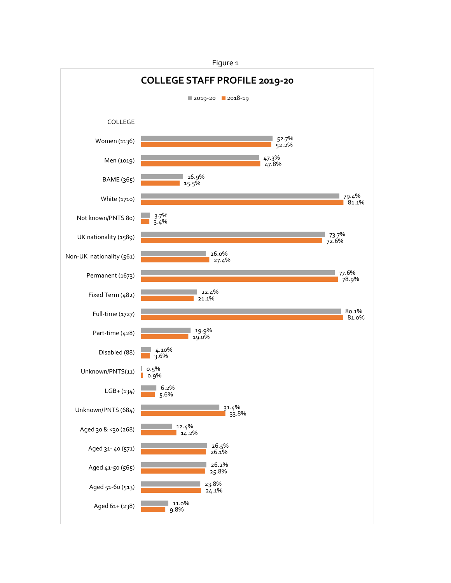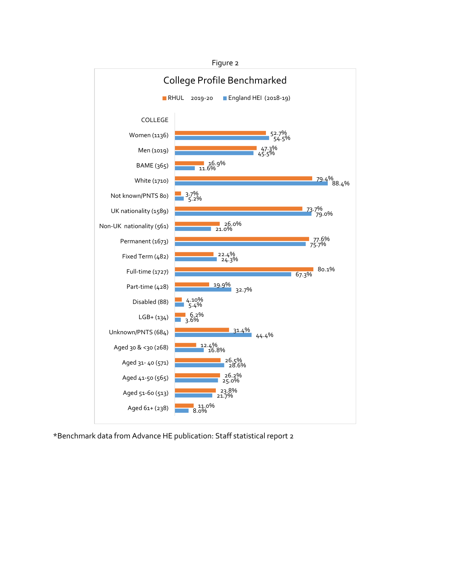

\*Benchmark data from Advance HE publication: Staff statistical report 2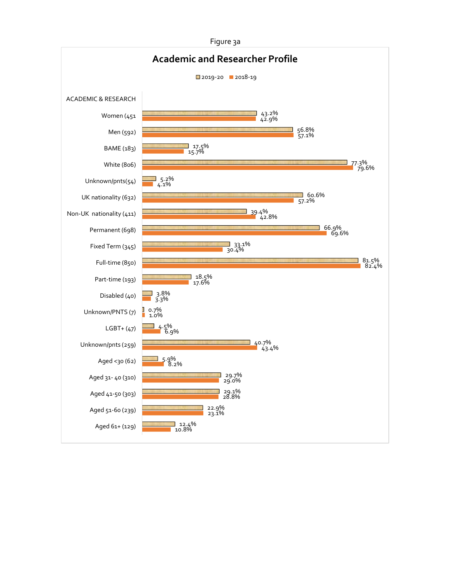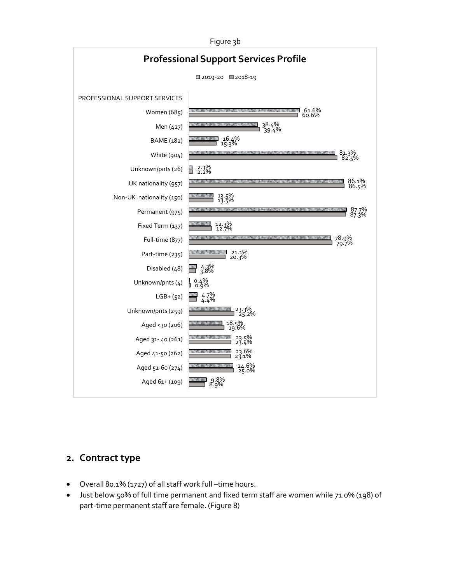

#### **2. Contract type**

- Overall 80.1% (1727) of all staff work full –time hours.
- Just below 50% of full time permanent and fixed term staff are women while 71.0% (198) of part-time permanent staff are female. (Figure 8)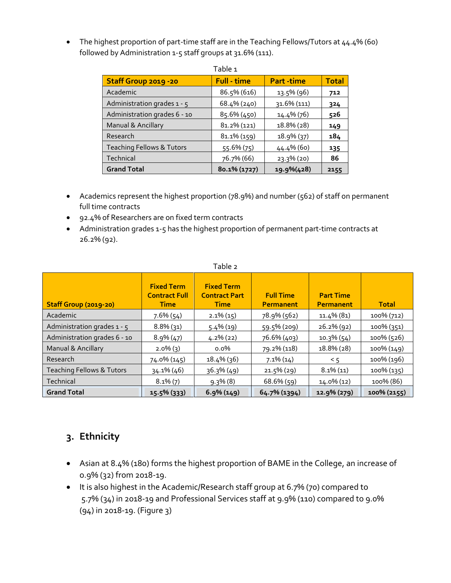• The highest proportion of part-time staff are in the Teaching Fellows/Tutors at 44.4% (60) followed by Administration 1-5 staff groups at 31.6% (111).

| Staff Group 2019 - 20                | <b>Full - time</b> | <b>Part-time</b> | <b>Total</b> |
|--------------------------------------|--------------------|------------------|--------------|
| Academic                             | 86.5% (616)        | 13.5% (96)       | 712          |
| Administration grades 1 - 5          | 68.4% (240)        | 31.6% (111)      | 324          |
| Administration grades 6 - 10         | $85.6\%$ (450)     | 14.4% (76)       | 526          |
| Manual & Ancillary                   | 81.2% (121)        | 18.8% (28)       | 149          |
| Research                             | 81.1% (159)        | 18.9% (37)       | 184          |
| <b>Teaching Fellows &amp; Tutors</b> | 55.6% (75)         | 44.4% (60)       | 135          |
| Technical                            | 76.7% (66)         | 23.3% (20)       | 86           |
| <b>Grand Total</b>                   | 80.1% (1727)       | 19.9%(428)       | 2155         |

- Academics represent the highest proportion (78.9%) and number (562) of staff on permanent full time contracts
- 92.4% of Researchers are on fixed term contracts
- Administration grades 1-5 has the highest proportion of permanent part-time contracts at 26.2% (92).

|                                      |                                                          | Table 2                                                  |                               |                                      |               |
|--------------------------------------|----------------------------------------------------------|----------------------------------------------------------|-------------------------------|--------------------------------------|---------------|
| Staff Group (2019-20)                | <b>Fixed Term</b><br><b>Contract Full</b><br><b>Time</b> | <b>Fixed Term</b><br><b>Contract Part</b><br><b>Time</b> | <b>Full Time</b><br>Permanent | <b>Part Time</b><br><b>Permanent</b> | <b>Total</b>  |
| Academic                             | $7.6\%$ (54)                                             | $2.1\%$ (15)                                             | 78.9% (562)                   | 11.4% (81)                           | 100% (712)    |
| Administration grades $1 - 5$        | $8.8\%$ (31)                                             | $5.4\%(19)$                                              | 59.5% (209)                   | $26.2\%$ (92)                        | $100\%$ (351) |
| Administration grades 6 - 10         | $8.9\%$ (47)                                             | $4.2\%$ (22)                                             | 76.6% (403)                   | $10.3\%$ (54)                        | 100% (526)    |
| Manual & Ancillary                   | $2.0\%$ (3)                                              | $0.0\%$                                                  | 79.2% (118)                   | 18.8% (28)                           | 100% (149)    |
| Research                             | 74.0% (145)                                              | $18.4\%$ (36)                                            | $7.1\%$ (14)                  | 5 <                                  | 100% (196)    |
| <b>Teaching Fellows &amp; Tutors</b> | 34.1% (46)                                               | $36.3\%$ (49)                                            | $21.5\%$ (29)                 | $8.1\%$ (11)                         | 100% (135)    |
| Technical                            | $8.1\%$ (7)                                              | $9.3\%$ (8)                                              | $68.6\%$ (59)                 | $14.0\%$ (12)                        | 100% (86)     |
| <b>Grand Total</b>                   | 15.5% (333)                                              | $6.9\%$ (149)                                            | 64.7% (1394)                  | 12.9% (279)                          | 100% (2155)   |

# **3. Ethnicity**

- Asian at 8.4% (180) forms the highest proportion of BAME in the College, an increase of o.9% (32) from 2018-19.
- It is also highest in the Academic/Research staff group at 6.7% (70) compared to 5.7% (34) in 2018-19 and Professional Services staff at 9.9% (110) compared to 9.0% (94) in 2018-19. (Figure 3)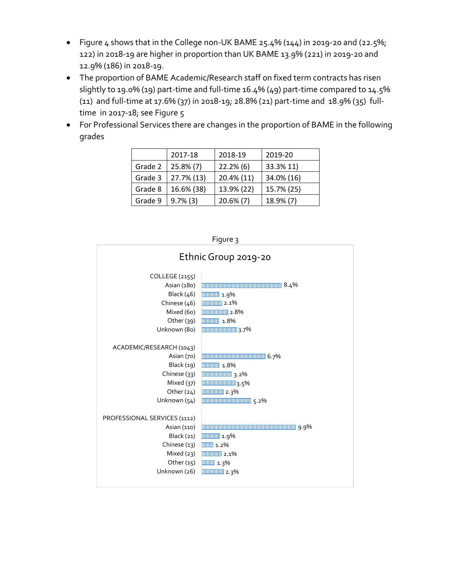- Figure 4 shows that in the College non-UK BAME 25.4% (144) in 2019-20 and (22.5%; 122) in 2018-19 are higher in proportion than UK BAME 13.9% (221) in 2019-20 and 12.9% (186) in 2018-19.
- The proportion of BAME Academic/Research staff on fixed term contracts has risen slightly to 19.0% (19) part-time and full-time 16.4% (49) part-time compared to 14.5% (11) and full-time at 17.6% (37) in 2018-19; 28.8% (21) part-time and 18.9% (35) fulltime in 2017-18; see Figure 5
- For Professional Services there are changes in the proportion of BAME in the following grades

|         | 2017-18      | 2018-19      | 2019-20    |
|---------|--------------|--------------|------------|
| Grade 2 | $25.8\%$ (7) | $22.2\%$ (6) | 33.3% 11)  |
| Grade 3 | 27.7% (13)   | 20.4% (11)   | 34.0% (16) |
| Grade 8 | 16.6% (38)   | 13.9% (22)   | 15.7% (25) |
| Grade 9 | $9.7\%$ (3)  | $20.6\%$ (7) | 18.9% (7)  |

| Figure 3                     |                                                |  |
|------------------------------|------------------------------------------------|--|
| Ethnic Group 2019-20         |                                                |  |
| COLLEGE (2155)               |                                                |  |
| Asian (180)                  | <b>MARKET 1999</b> S.4%                        |  |
| Black $(46)$                 | <b>THEFER 1.9%</b>                             |  |
| Chinese (46)                 | $\boxed{\text{minmin}} \quad 2.1\%$            |  |
| Mixed (6o)                   | <b>THEFFERENT 2.8%</b>                         |  |
| Other $(39)$                 | <b>THEFTER</b> 1.8%                            |  |
| Unknown (80)                 | <b>THE REAL TERM IN THE REAL PROPERTY 3.7%</b> |  |
|                              |                                                |  |
| ACADEMIC/RESEARCH (1043)     |                                                |  |
| Asian (70)                   | <b>ШИНИНИНИНИНИНИНИНИНИНИН</b> 6.7%            |  |
| Black (19)                   | <b>THEFT 1.8%</b>                              |  |
| Chinese (33)                 | $\frac{1}{2}$                                  |  |
| Mixed (37)                   | <b>MUNICIPALITY 1999</b> 3.5%                  |  |
| Other $(24)$                 | $\boxed{\text{min}}$ 2.3%                      |  |
| Unknown (54)                 | <b>ШИНИНИНИНИНИНИНИН</b> 5.2%                  |  |
|                              |                                                |  |
| PROFESSIONAL SERVICES (1112) |                                                |  |
| Asian (110)                  |                                                |  |
| Black $(21)$                 | <b>THEFER 1.9%</b>                             |  |
| Chinese (13)                 | $\boxed{\text{min}}$ 1.2%                      |  |
| Mixed (23)                   | $\boxed{\text{min}}$ 2.1%                      |  |
| Other $(15)$                 | $\boxed{\text{min}}$ 1.3%                      |  |
| Unknown (26)                 | $\boxed{\text{min}}$ 2.3%                      |  |
|                              |                                                |  |
|                              |                                                |  |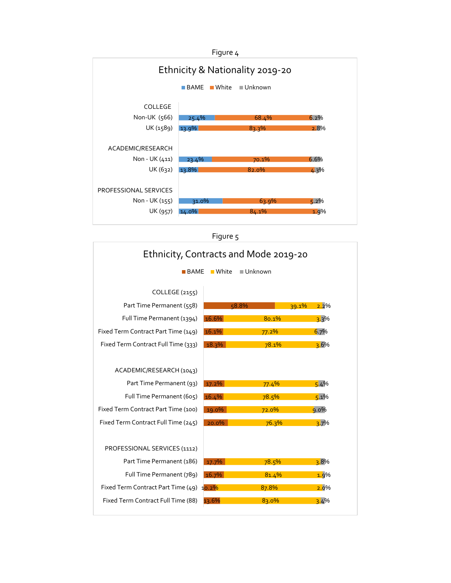

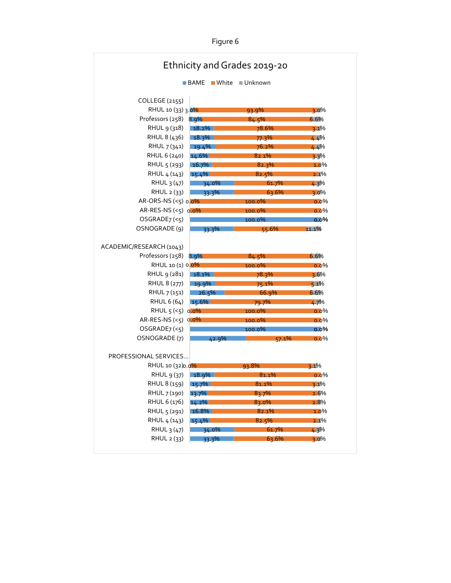|                           |                                | Ethnicity and Grades 2019-20 |         |
|---------------------------|--------------------------------|------------------------------|---------|
|                           | ■ White<br>$\blacksquare$ BAME | $\blacksquare$ Unknown       |         |
| COLLEGE (2155)            |                                |                              |         |
| RHUL 10 (33) 3.0%         |                                | 93.9%                        | $3.0\%$ |
| Professors $(258)$ 8.9%   |                                | 84.5%                        | 6.6%    |
| RHUL 9 (318)              | $18.2\%$                       | 78.6%                        | $3.1\%$ |
| RHUL 8 (436)              | $18.3\%$                       | 77.3%                        | 4.4%    |
| RHUL 7 (341)              | $19.4\%$                       | 76.2%                        | 4.4%    |
| RHUL 6 (240)              | $14.6\%$                       | 82.1%                        | $3.3\%$ |
| RHUL 5 (293)              | $16.7\%$                       | 82.3%                        | 1.0%    |
| RHUL 4 (143)              | $15.4\%$                       | 82.5%                        | 2.1%    |
| RHUL 3 (47)               | 34.0%                          | 61.7%                        | $4.3\%$ |
| RHUL $2(33)$              | 33.3%                          | 63.6%                        | $3.0\%$ |
| AR-ORS-NS $(<5)$ 0.0%     |                                | 100.0%                       | $0.0\%$ |
| AR-RES-NS $(<5)$ 0.0%     |                                | 100.0%                       | $0.0\%$ |
| OSGRAPHE7 (< 5)           |                                | 100.0%                       | $0.0\%$ |
| OSNOGRADE (9)             | 33.3%                          | 55.6%                        | 11.1%   |
| ACADEMIC/RESEARCH (1043)  |                                |                              |         |
| Professors (258) 8.9%     |                                | 84.5%                        | 6.6%    |
| RHUL 10 (1) 0 0%          |                                | 100.0%                       | $0.0\%$ |
| RHUL 9 (281)              | $18.1\%$                       | 78.3%                        | $3.6\%$ |
| RHUL 8 (277)              | 19.9%                          | 75.1%                        | $5.1\%$ |
| RHUL 7 (151)              | 26.5%                          | 66.9%                        | 6.6%    |
| RHUL 6 (64)               | 15.6%                          | 79.7%                        | $4.7\%$ |
| RHUL $5$ (< $5$ ) $0.0\%$ |                                | 100.0%                       | $0.0\%$ |
| AR-RES-NS $(<5)$ 0.0%     |                                | 100.0%                       | $0.0\%$ |
| OSGRAPHE7 (< 5)           |                                | 100.0%                       | $0.0\%$ |
| OSNOGRADE (7)             | 42.9%                          | 57.1%                        | $0.0\%$ |
|                           |                                |                              |         |
| PROFESSIONAL SERVICES     |                                |                              |         |
| RHUL 10 (32) 0.0%         |                                | 93.8%                        | $3.1\%$ |
| RHUL 9 (37)               | 18.9%                          | 81.1%                        | $0.0\%$ |
| RHUL 8 (159)              | 15.7%                          | 81.1%                        | 3.1%    |
| RHUL 7 (190)              | 13.7%                          | 83.7%                        | 2.6%    |
| RHUL 6 (176)              | $14.2\%$                       | 83.0%                        | 2.8%    |
| RHUL 5 (291)              | 16.8%                          | 82.1%                        | 1.0%    |
| RHUL 4 (143)              | $15.4\%$                       | 82.5%                        | 2.1%    |
| RHUL 3 (47)               | 34.0%                          | 61.7%                        | 4.3%    |
|                           |                                |                              |         |
| RHUL 2 (33)               | 33.3%                          | 63.6%                        | $3.0\%$ |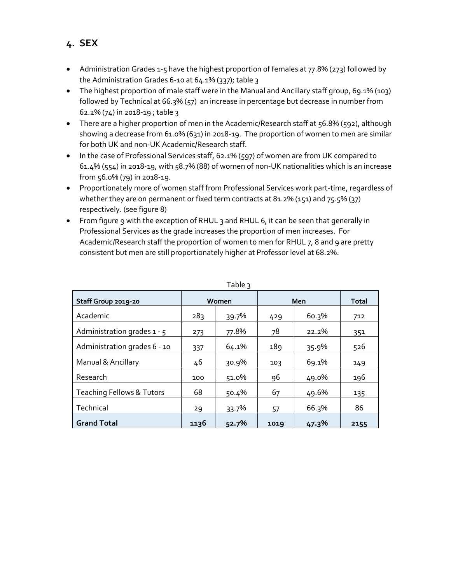- Administration Grades 1-5 have the highest proportion of females at 77.8% (273) followed by
- the Administration Grades 6-10 at 64.1% (337); table 3 • The highest proportion of male staff were in the Manual and Ancillary staff group, 69.1% (103) followed by Technical at 66.3% (57) an increase in percentage but decrease in number from 62.2% (74) in 2018-19 ; table 3
- There are a higher proportion of men in the Academic/Research staff at 56.8% (592), although showing a decrease from 61.0% (631) in 2018-19. The proportion of women to men are similar for both UK and non-UK Academic/Research staff.
- In the case of Professional Services staff, 62.1% (597) of women are from UK compared to 61.4% (554) in 2018-19, with 58.7% (88) of women of non-UK nationalities which is an increase from 56.0% (79) in 2018-19.
- Proportionately more of women staff from Professional Services work part-time, regardless of whether they are on permanent or fixed term contracts at 81.2% (151) and 75.5% (37) respectively. (see figure 8)
- From figure 9 with the exception of RHUL 3 and RHUL 6, it can be seen that generally in Professional Services as the grade increases the proportion of men increases. For Academic/Research staff the proportion of women to men for RHUL 7, 8 and 9 are pretty consistent but men are still proportionately higher at Professor level at 68.2%.

| Staff Group 2019-20                  |      | Women    |      | Men   | <b>Total</b> |
|--------------------------------------|------|----------|------|-------|--------------|
| Academic                             | 283  | 39.7%    | 429  | 60.3% | 712          |
| Administration grades $1 - 5$        | 273  | 77.8%    | 78   | 22.2% | 351          |
| Administration grades 6 - 10         | 337  | 64.1%    | 189  | 35.9% | 526          |
| Manual & Ancillary                   | 46   | $30.9\%$ | 103  | 69.1% | 149          |
| Research                             | 100  | 51.0%    | 96   | 49.0% | 196          |
| <b>Teaching Fellows &amp; Tutors</b> | 68   | 50.4%    | 67   | 49.6% | 135          |
| Technical                            | 29   | 33.7%    | 57   | 66.3% | 86           |
| <b>Grand Total</b>                   | 1136 | 52.7%    | 1019 | 47.3% | 2155         |

|  | × |  |
|--|---|--|

# **4. SEX**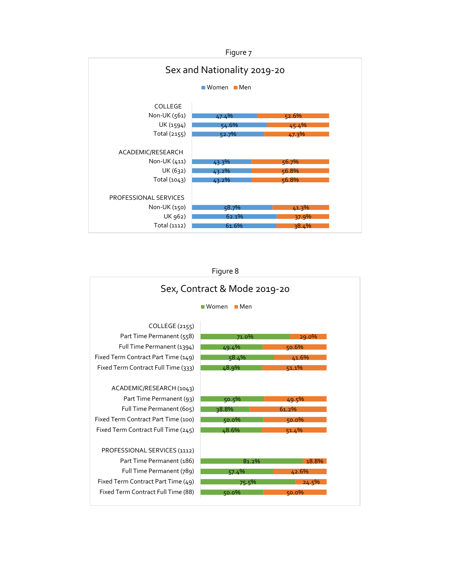![](_page_12_Figure_0.jpeg)

![](_page_12_Figure_1.jpeg)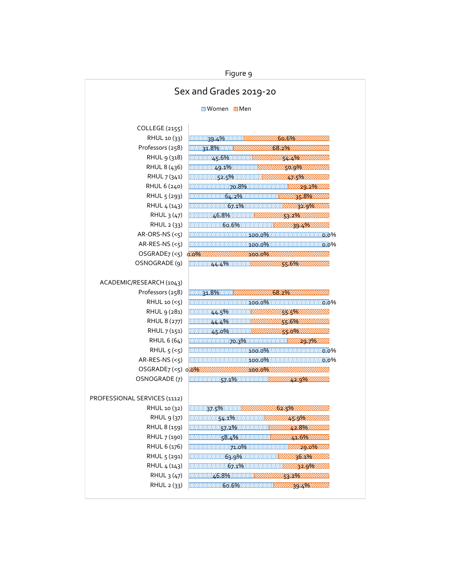Figure 9 Sex and Grades 2019-20 **Momen M**Men COLLEGE (2155) RHUL 10 (33) 39.4% 60.6% Professors (258) 31.8% 68.2% RHUL 9 (318) 45.6% 54.4% RHUL 8 (436) 49.1% 50.9% RHUL 7 (341) 52.5% 47.5% RHUL 6 (240) 70.8% 29.2% RHUL 5 (293) 64.2% 35.8% RHUL 4 (143) 67.1% 32.9% RHUL 3 (47) 46.8% 53.2% RHUL 2 (33) 60.6% 39.4% ▧ AR-ORS-NS (<5) 100.0% 0.0% AR-RES-NS (<5) 100.0% 0.0%  $OSGRADE7 (< 5)$ 0.0% 100.0% mmmmm OSNOGRADE (9) 44.4% 55.6% ACADEMIC/RESEARCH (1043) Professors (258) 排出用约189/排出用 68.2% ,,,,,,,, RHUL 10 (<5) 100.0% **相心**の% RHUL 9 (281) 44.5% 55.5% RHUL 8 (277) 44.4% 55.6% W RHUL 7 (151) 45.0% 55.0%  $\overline{\mathcal{N}}$ RHUL 6 (64) 70.3% 29.7% RHUL  $5$  (< $5$ ) 100.0% 0.0% AR-RES-NS $(<5)$ 100.0% 0.0% OSGRADE7 (<5) 03096 100.0% OSNOGRADE (7) 57.1% 42.9% PROFESSIONAL SERVICES (1112) RHUL 10 (32) 37.5% 11 62.5% RHUL 9 (37) 54.1% 45.9% RHUL 8 (159) 57.2% 42.8% RHUL 7 (190) 58.4% 41.6% RHUL 6 (176) 71.0% 29.0% SS. RHUL 5 (291) 63.9% 36.1%  $\infty$ RHUL 4 (143) 67.1% 32.9% ∾ RHUL 3 (47) 46.8% 53.2% W. RHUL 2 (33) **BBBBB** 60.6% 39.4%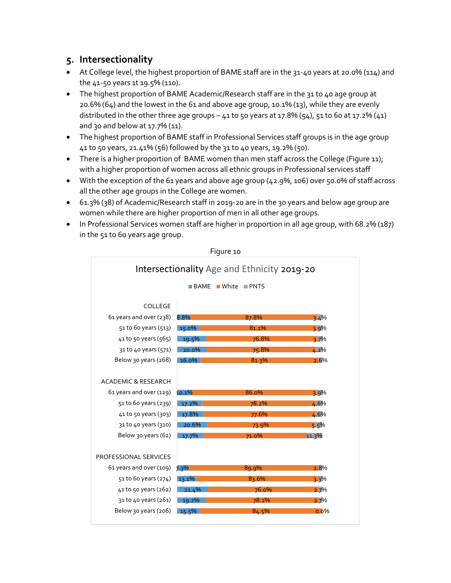#### **5. Intersectionality**

- At College level, the highest proportion of BAME staff are in the 31-40 years at 20.0% (114) and the 41-50 years 1t 19.5% (110).
- The highest proportion of BAME Academic/Research staff are in the 31 to 40 age group at 20.6% (64) and the lowest in the 61 and above age group, 10.1% (13), while they are evenly distributed In the other three age groups  $-41$  to 50 years at 17.8% ( $54$ ),  $51$  to 60 at 17.2% ( $41$ ) and 30 and below at 17.7% (11).
- The highest proportion of BAME staff in Professional Services staff groups is in the age group 41 to 50 years, 21.41% (56) followed by the 31 to 40 years, 19.2% (50).
- There is a higher proportion of BAME women than men staff across the College (Figure 11); with a higher proportion of women across all ethnic groups in Professional services staff
- With the exception of the 61 years and above age group (42.9%, 106) over 50.0% of staff across all the other age groups in the College are women.
- 61.3% (38) of Academic/Research staff in 2019-20 are in the 30 years and below age group are women while there are higher proportion of men in all other age groups.
- In Professional Services women staff are higher in proportion in all age group, with 68.2% (187) in the 51 to 60 years age group.

![](_page_14_Figure_8.jpeg)

Figure 10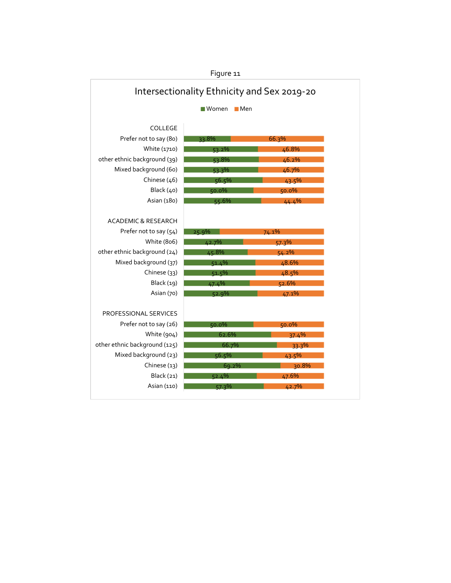|                                             | Lidnic TT |       |
|---------------------------------------------|-----------|-------|
| Intersectionality Ethnicity and Sex 2019-20 |           |       |
| $\blacksquare$ Women<br>$\blacksquare$ Men  |           |       |
|                                             |           |       |
| COLLEGE                                     |           |       |
| Prefer not to say (80)                      | $33.8\%$  | 66.3% |
| White (1710)                                | $53.2\%$  | 46.8% |
| other ethnic background (39)                | 53.8%     | 46.2% |
| Mixed background (60)                       | 53.3%     | 46.7% |
| Chinese (46)                                | 56.5%     | 43.5% |
| Black (40)                                  | 50.0%     | 50.0% |
| Asian (180)                                 | 55.6%     | 44.4% |
|                                             |           |       |
| <b>ACADEMIC &amp; RESEARCH</b>              |           |       |
| Prefer not to say (54)                      | 25.9%     | 74.1% |
| White (806)                                 | 42.7%     | 57.3% |
| other ethnic background (24)                | 45.8%     | 54.2% |
| Mixed background (37)                       | 51.4%     | 48.6% |
| Chinese (33)                                | 51.5%     | 48.5% |
| <b>Black</b> (19)                           | 47.4%     | 52.6% |
| Asian (70)                                  | 52.9%     | 47.1% |
|                                             |           |       |
| <b>PROFESSIONAL SERVICES</b>                |           |       |
| Prefer not to say (26)                      | 50.0%     | 50.0% |
| White (904)                                 | 62.6%     | 37.4% |
| other ethnic background (125)               | 66.7%     | 33.3% |
| Mixed background (23)                       | 56.5%     | 43.5% |
| Chinese (13)                                | 69.2%     | 30.8% |
|                                             |           |       |
| Black (21)                                  | 52.4%     | 47.6% |

Figure 11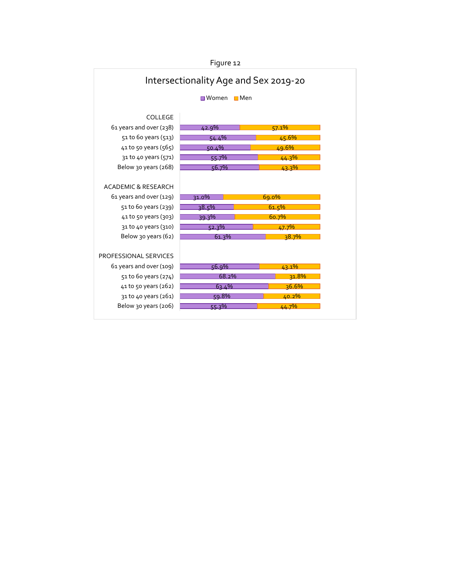![](_page_16_Figure_0.jpeg)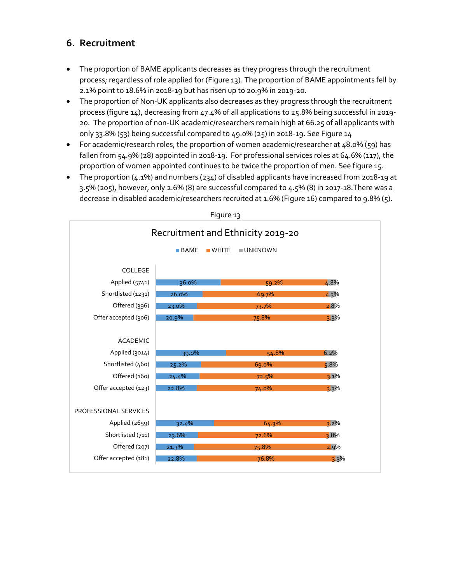# **6. Recruitment**

- The proportion of BAME applicants decreases as they progress through the recruitment process; regardless of role applied for (Figure 13). The proportion of BAME appointments fell by 2.1% point to 18.6% in 2018-19 but has risen up to 20.9% in 2019-20.
- The proportion of Non-UK applicants also decreases as they progress through the recruitment process (figure 14), decreasing from 47.4% of all applications to 25.8% being successful in 2019- 20. The proportion of non-UK academic/researchers remain high at 66.25 of all applicants with only 33.8% (53) being successful compared to 49.0% (25) in 2018-19. See Figure 14
- For academic/research roles, the proportion of women academic/researcher at 48.0% (59) has fallen from 54.9% (28) appointed in 2018-19. For professional services roles at 64.6% (117), the proportion of women appointed continues to be twice the proportion of men. See figure 15.
- The proportion (4.1%) and numbers (234) of disabled applicants have increased from 2018-19 at 3.5% (205), however, only 2.6% (8) are successful compared to 4.5% (8) in 2017-18.There was a decrease in disabled academic/researchers recruited at 1.6% (Figure 16) compared to 9.8% (5).

![](_page_17_Figure_5.jpeg)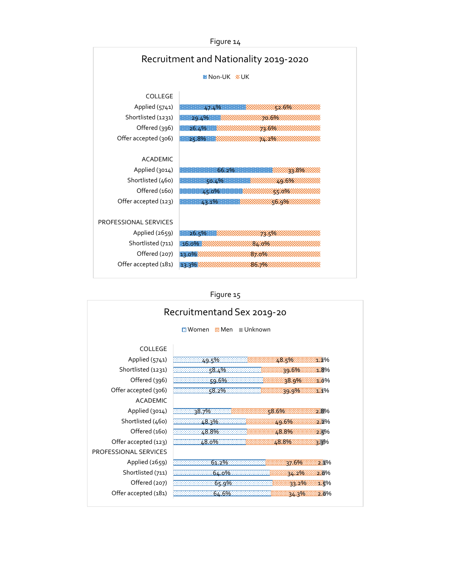| Figure 14                             |                                                                                                                       |  |
|---------------------------------------|-----------------------------------------------------------------------------------------------------------------------|--|
| Recruitment and Nationality 2019-2020 |                                                                                                                       |  |
|                                       | MNon-UK & UK                                                                                                          |  |
| COLLEGE                               |                                                                                                                       |  |
| Applied (5741)                        | <b>ELECT 47.4% NOW A 42.6% WINDS</b>                                                                                  |  |
| Shortlisted (1231)                    | $29.4\%$ NWWWWWW20698                                                                                                 |  |
| Offered (396)                         | 1 26.4% AWWWWWWWARASOWWWWWWW                                                                                          |  |
| Offer accepted (306)                  | 25.8% WWW.WWW.24396WWWWWW                                                                                             |  |
|                                       |                                                                                                                       |  |
| <b>ACADEMIC</b>                       |                                                                                                                       |  |
| Applied (3014)                        | <b>AND 1998 THE REPORT OF A REPORT OF A REPORT OF A REPORT OF A REPORT OF A REPORT OF A REPORT OF A REPORT OF A R</b> |  |
| Shortlisted (460)                     |                                                                                                                       |  |
| Offered (160)                         | <b>EXECUTIVE AS ON THE ROOM WINDOWS AND RESIDENT WINDOWS</b>                                                          |  |
| Offer accepted (123)                  |                                                                                                                       |  |
|                                       |                                                                                                                       |  |
| PROFESSIONAL SERVICES                 |                                                                                                                       |  |
| Applied (2659)                        |                                                                                                                       |  |
| Shortlisted (711)                     | 16.0% WWWWWWW84086WWWWWWWW                                                                                            |  |
| Offered (207)                         |                                                                                                                       |  |
| Offer accepted (181)                  |                                                                                                                       |  |
|                                       |                                                                                                                       |  |

# Figure 15

| Recruitmentand Sex 2019-20                         |                                                    |  |  |  |
|----------------------------------------------------|----------------------------------------------------|--|--|--|
| <b>図</b> Men<br><b>■Unknown</b><br>$\boxdot$ Women |                                                    |  |  |  |
| COLLEGE<br>Applied (5741)                          | 48.4%<br>32%                                       |  |  |  |
| Shortlisted (1231)                                 | $58.4\%$<br>29.6%<br>33%                           |  |  |  |
| Offered (396)                                      | 38.9%<br><u>:59.6%: ::::::::::::::::::</u><br>320% |  |  |  |
| Offer accepted (306)                               | 58.2%<br>331%<br>39.9%                             |  |  |  |
| <b>ACADEMIC</b>                                    |                                                    |  |  |  |
| Applied (3014)                                     | 58.6%<br>$38.7\%$ and $\frac{1}{200}$<br>2.8%      |  |  |  |
| Shortlisted (460)                                  | 48.3%<br>49.6%<br>322%                             |  |  |  |
| Offered (160)                                      | 48.8%<br>48.8%<br>25%<br><u>aag</u> ooddib         |  |  |  |
| Offer accepted (123)                               | 48.0%<br>48.8%<br>≋ ২%                             |  |  |  |
| PROFESSIONAL SERVICES                              |                                                    |  |  |  |
| Applied (2659)                                     | $61.2\%$<br>27.6%<br>21%                           |  |  |  |
| Shortlisted (711)                                  | 64.0%<br>34.2%<br>⊠ο%                              |  |  |  |
| Offered (207)                                      | $65.9\%$<br>33.2%<br>≋≥द%                          |  |  |  |
| Offer accepted (181)                               | 64.6%<br>2.o%<br>34.3%                             |  |  |  |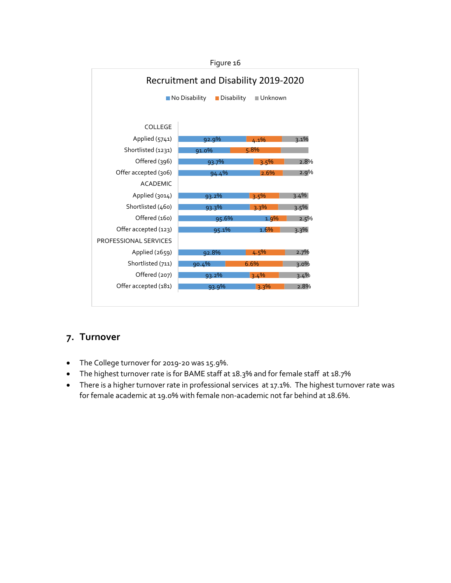![](_page_19_Figure_0.jpeg)

#### **7. Turnover**

- The College turnover for 2019-20 was 15.9%.
- The highest turnover rate is for BAME staff at 18.3% and for female staff at 18.7%
- There is a higher turnover rate in professional services at 17.1%. The highest turnover rate was for female academic at 19.0% with female non-academic not far behind at 18.6%.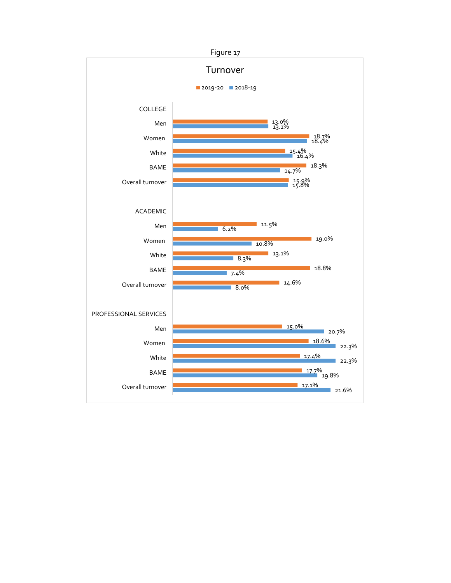![](_page_20_Figure_0.jpeg)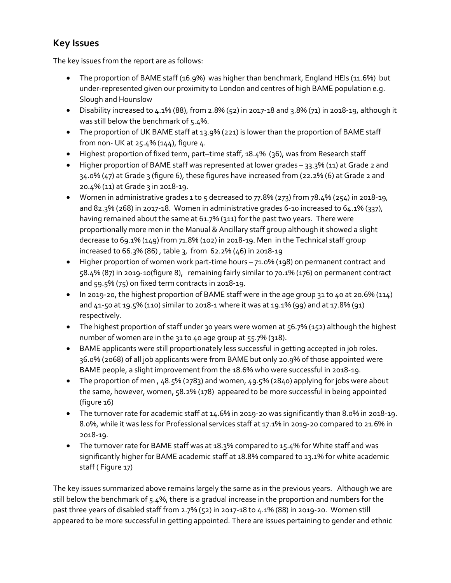# **Key Issues**

The key issues from the report are as follows:

- The proportion of BAME staff (16.9%) was higher than benchmark, England HEIs (11.6%) but under-represented given our proximity to London and centres of high BAME population e.g. Slough and Hounslow
- Disability increased to  $4.1\%$  (88), from 2.8% (52) in 2017-18 and 3.8% (71) in 2018-19, although it was still below the benchmark of 5.4%.
- The proportion of UK BAME staff at 13.9% (221) is lower than the proportion of BAME staff from non- UK at 25.4% (144), figure 4.
- Highest proportion of fixed term, part–time staff, 18.4% (36), was from Research staff
- Higher proportion of BAME staff was represented at lower grades 33.3% (11) at Grade 2 and 34.0% (47) at Grade 3 (figure 6), these figures have increased from (22.2% (6) at Grade 2 and 20.4% (11) at Grade 3 in 2018-19.
- Women in administrative grades 1 to 5 decreased to  $77.8\%$  (273) from  $78.4\%$  (254) in 2018-19, and 82.3% (268) in 2017-18. Women in administrative grades 6-10 increased to 64.1% (337), having remained about the same at 61.7% (311) for the past two years. There were proportionally more men in the Manual & Ancillary staff group although it showed a slight decrease to 69.1% (149) from 71.8% (102) in 2018-19. Men in the Technical staff group increased to 66.3% (86) , table 3, from 62.2% (46) in 2018-19
- Higher proportion of women work part-time hours 71.0% (198) on permanent contract and 58.4% (87) in 2019-10(figure 8), remaining fairly similar to 70.1% (176) on permanent contract and 59.5% (75) on fixed term contracts in 2018-19.
- In 2019-20, the highest proportion of BAME staff were in the age group 31 to 40 at 20.6% (114) and 41-50 at 19.5% (110) similar to 2018-1 where it was at 19.1% (99) and at 17.8% (91) respectively.
- The highest proportion of staff under 30 years were women at 56.7% (152) although the highest number of women are in the 31 to 40 age group at 55.7% (318).
- BAME applicants were still proportionately less successful in getting accepted in job roles. 36.0% (2068) of all job applicants were from BAME but only 20.9% of those appointed were BAME people, a slight improvement from the 18.6% who were successful in 2018-19.
- The proportion of men, 48.5% (2783) and women, 49.5% (2840) applying for jobs were about the same, however, women, 58.2% (178) appeared to be more successful in being appointed (figure 16)
- The turnover rate for academic staff at 14.6% in 2019-20 was significantly than 8.0% in 2018-19. 8.0%, while it was less for Professional services staff at 17.1% in 2019-20 compared to 21.6% in 2018-19.
- The turnover rate for BAME staff was at 18.3% compared to 15.4% for White staff and was significantly higher for BAME academic staff at 18.8% compared to 13.1% for white academic staff ( Figure 17)

The key issues summarized above remains largely the same as in the previous years. Although we are still below the benchmark of 5.4%, there is a gradual increase in the proportion and numbers for the past three years of disabled staff from 2.7% (52) in 2017-18 to 4.1% (88) in 2019-20. Women still appeared to be more successful in getting appointed. There are issues pertaining to gender and ethnic